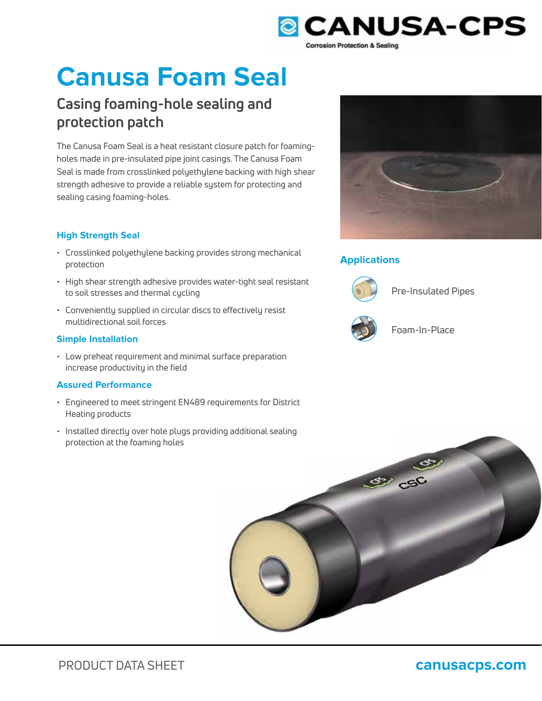

# **Canusa Foam Seal**

# **Casing foaming-hole sealing and protection patch**

The Canusa Foam Seal is a heat resistant closure patch for foamingholes made in pre-insulated pipe joint casings. The Canusa Foam Seal is made from crosslinked polyethylene backing with high shear strength adhesive to provide a reliable system for protecting and sealing casing foaming-holes.

### **High Strength Seal**

- Crosslinked polyethylene backing provides strong mechanical protection
- High shear strength adhesive provides water-tight seal resistant to soil stresses and thermal cycling
- Conveniently supplied in circular discs to effectively resist multidirectional soil forces

### **Simple Installation**

• Low preheat requirement and minimal surface preparation increase productivity in the field

### **Assured Performance**

- Engineered to meet stringent EN489 requirements for District Heating products
- Installed directly over hole plugs providing additional sealing protection at the foaming holes



## **Applications**



Pre-Insulated Pipes



Foam-In-Place